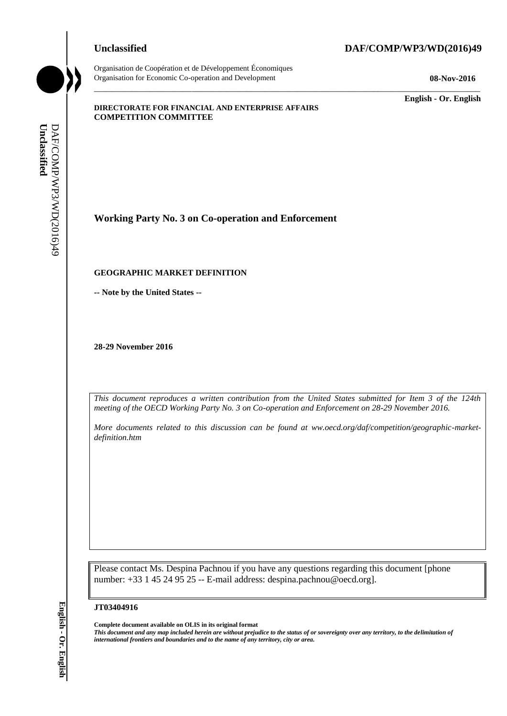Organisation de Coopération et de Développement Économiques

### **Unclassified DAF/COMP/WP3/WD(2016)49**

Organisation for Economic Co-operation and Development **08-Nov-2016**

\_\_\_\_\_\_\_\_\_\_\_\_\_ **English - Or. English**

#### **DIRECTORATE FOR FINANCIAL AND ENTERPRISE AFFAIRS COMPETITION COMMITTEE**

**Working Party No. 3 on Co-operation and Enforcement iii** *international frontiers and boundaries and to the name of any territory*, city or area.<br> **EXAMPIENT SECOGRAPHIC MARKET DEFINITION**<br>
- Note by the United States --<br>
28-29 November 2016<br>
This document reproduces a wri

### **GEOGRAPHIC MARKET DEFINITION**

**-- Note by the United States --**

**28-29 November 2016**

*This document reproduces a written contribution from the United States submitted for Item 3 of the 124th meeting of the OECD Working Party No. 3 on Co-operation and Enforcement on 28-29 November 2016.*

\_\_\_\_\_\_\_\_\_\_\_\_\_\_\_\_\_\_\_\_\_\_\_\_\_\_\_\_\_\_\_\_\_\_\_\_\_\_\_\_\_\_\_\_\_\_\_\_\_\_\_\_\_\_\_\_\_\_\_\_\_\_\_\_\_\_\_\_\_\_\_\_\_\_\_\_\_\_\_\_\_\_\_\_\_\_\_\_\_\_\_

*More documents related to this discussion can be found at ww.oecd.org/daf/competition/geographic-marketdefinition.htm*

Please contact Ms. Despina Pachnou if you have any questions regarding this document [phone number: +33 1 45 24 95 25 -- E-mail address: despina.pachnou@oecd.org].

#### **JT03404916**

**Complete document available on OLIS in its original format**

*This document and any map included herein are without prejudice to the status of or sovereignty over any territory, to the delimitation of*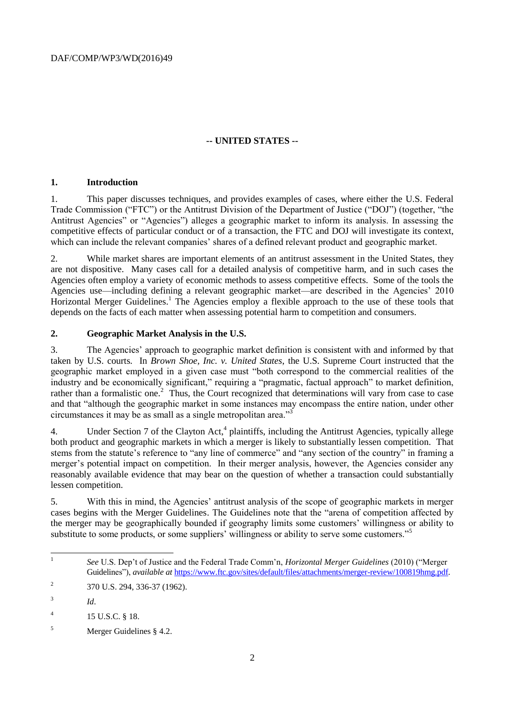# **-- UNITED STATES --**

## **1. Introduction**

1. This paper discusses techniques, and provides examples of cases, where either the U.S. Federal Trade Commission ("FTC") or the Antitrust Division of the Department of Justice ("DOJ") (together, "the Antitrust Agencies" or "Agencies") alleges a geographic market to inform its analysis. In assessing the competitive effects of particular conduct or of a transaction, the FTC and DOJ will investigate its context, which can include the relevant companies' shares of a defined relevant product and geographic market.

2. While market shares are important elements of an antitrust assessment in the United States, they are not dispositive. Many cases call for a detailed analysis of competitive harm, and in such cases the Agencies often employ a variety of economic methods to assess competitive effects. Some of the tools the Agencies use—including defining a relevant geographic market—are described in the Agencies' 2010 Horizontal Merger Guidelines.<sup>1</sup> The Agencies employ a flexible approach to the use of these tools that depends on the facts of each matter when assessing potential harm to competition and consumers.

# **2. Geographic Market Analysis in the U.S.**

3. The Agencies' approach to geographic market definition is consistent with and informed by that taken by U.S. courts. In *Brown Shoe, Inc. v. United States*, the U.S. Supreme Court instructed that the geographic market employed in a given case must "both correspond to the commercial realities of the industry and be economically significant," requiring a "pragmatic, factual approach" to market definition, rather than a formalistic one.<sup>2</sup> Thus, the Court recognized that determinations will vary from case to case and that "although the geographic market in some instances may encompass the entire nation, under other circumstances it may be as small as a single metropolitan area."<sup>3</sup>

4. Under Section 7 of the Clayton Act,<sup>4</sup> plaintiffs, including the Antitrust Agencies, typically allege both product and geographic markets in which a merger is likely to substantially lessen competition. That stems from the statute's reference to "any line of commerce" and "any section of the country" in framing a merger's potential impact on competition. In their merger analysis, however, the Agencies consider any reasonably available evidence that may bear on the question of whether a transaction could substantially lessen competition.

5. With this in mind, the Agencies' antitrust analysis of the scope of geographic markets in merger cases begins with the Merger Guidelines. The Guidelines note that the "arena of competition affected by the merger may be geographically bounded if geography limits some customers' willingness or ability to substitute to some products, or some suppliers' willingness or ability to serve some customers."<sup>5</sup>

<sup>|&</sup>lt;br>|<br>| *See* U.S. Dep't of Justice and the Federal Trade Comm'n, *Horizontal Merger Guidelines* (2010) ("Merger Guidelines"), *available at* [https://www.ftc.gov/sites/default/files/attachments/merger-review/100819hmg.pdf.](https://www.ftc.gov/sites/default/files/attachments/merger-review/100819hmg.pdf)

 $\overline{2}$ 370 U.S. 294, 336-37 (1962).

<sup>3</sup> *Id*.

<sup>4</sup> 15 U.S.C. § 18.

<sup>5</sup> Merger Guidelines § 4.2.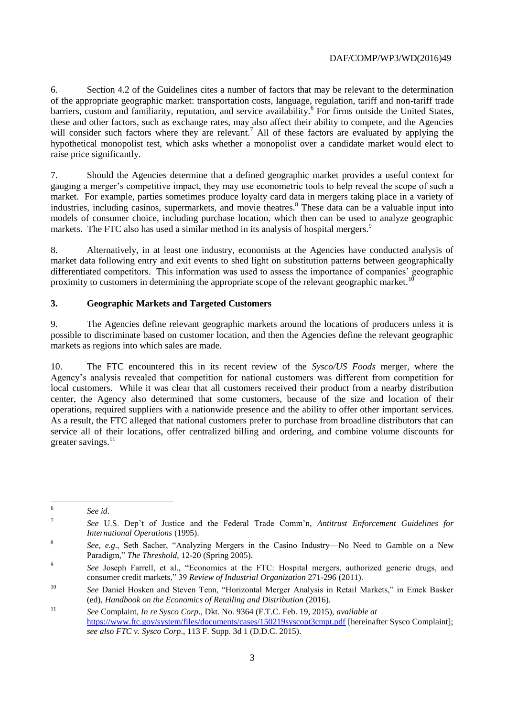6. Section 4.2 of the Guidelines cites a number of factors that may be relevant to the determination of the appropriate geographic market: transportation costs, language, regulation, tariff and non-tariff trade barriers, custom and familiarity, reputation, and service availability.<sup>6</sup> For firms outside the United States, these and other factors, such as exchange rates, may also affect their ability to compete, and the Agencies will consider such factors where they are relevant.<sup>7</sup> All of these factors are evaluated by applying the hypothetical monopolist test, which asks whether a monopolist over a candidate market would elect to raise price significantly.

7. Should the Agencies determine that a defined geographic market provides a useful context for gauging a merger's competitive impact, they may use econometric tools to help reveal the scope of such a market. For example, parties sometimes produce loyalty card data in mergers taking place in a variety of industries, including casinos, supermarkets, and movie theatres.<sup>8</sup> These data can be a valuable input into models of consumer choice, including purchase location, which then can be used to analyze geographic markets. The FTC also has used a similar method in its analysis of hospital mergers.<sup>9</sup>

8. Alternatively, in at least one industry, economists at the Agencies have conducted analysis of market data following entry and exit events to shed light on substitution patterns between geographically differentiated competitors. This information was used to assess the importance of companies' geographic proximity to customers in determining the appropriate scope of the relevant geographic market.<sup>10</sup>

### **3. Geographic Markets and Targeted Customers**

9. The Agencies define relevant geographic markets around the locations of producers unless it is possible to discriminate based on customer location, and then the Agencies define the relevant geographic markets as regions into which sales are made.

10. The FTC encountered this in its recent review of the *Sysco/US Foods* merger, where the Agency's analysis revealed that competition for national customers was different from competition for local customers. While it was clear that all customers received their product from a nearby distribution center, the Agency also determined that some customers, because of the size and location of their operations, required suppliers with a nationwide presence and the ability to offer other important services. As a result, the FTC alleged that national customers prefer to purchase from broadline distributors that can service all of their locations, offer centralized billing and ordering, and combine volume discounts for greater savings. $^{11}$ 

 6 *See id*.

<sup>7</sup> *See* U.S. Dep't of Justice and the Federal Trade Comm'n, *Antitrust Enforcement Guidelines for International Operations* (1995).

<sup>8</sup> *See, e.g.*, Seth Sacher, "Analyzing Mergers in the Casino Industry—No Need to Gamble on a New Paradigm," *The Threshold*, 12-20 (Spring 2005).

<sup>9</sup> *See* Joseph Farrell, et al., "Economics at the FTC: Hospital mergers, authorized generic drugs, and consumer credit markets," 39 *Review of Industrial Organization* 271-296 (2011).

<sup>10</sup> *See* Daniel Hosken and Steven Tenn, "Horizontal Merger Analysis in Retail Markets," in Emek Basker (ed), *Handbook on the Economics of Retailing and Distribution* (2016).

<sup>11</sup> *See* Complaint*, In re Sysco Corp*., Dkt. No. 9364 (F.T.C. Feb. 19, 2015), *available at* <https://www.ftc.gov/system/files/documents/cases/150219syscopt3cmpt.pdf> [hereinafter Sysco Complaint]; *see also FTC v. Sysco Corp*., 113 F. Supp. 3d 1 (D.D.C. 2015).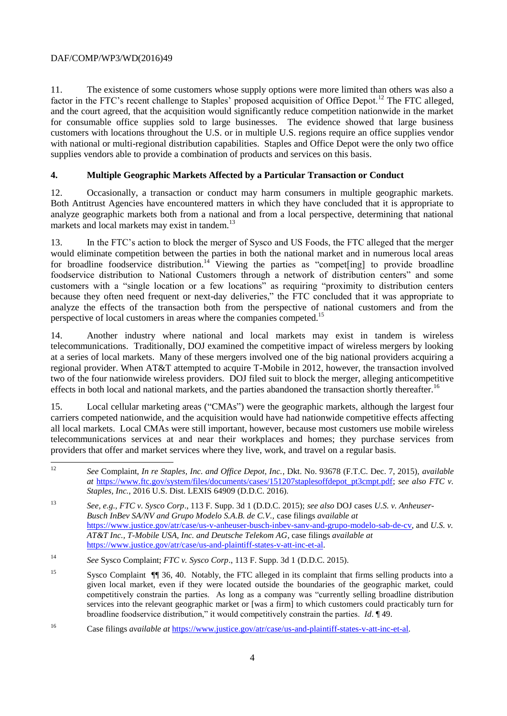11. The existence of some customers whose supply options were more limited than others was also a factor in the FTC's recent challenge to Staples' proposed acquisition of Office Depot.<sup>12</sup> The FTC alleged, and the court agreed, that the acquisition would significantly reduce competition nationwide in the market for consumable office supplies sold to large businesses. The evidence showed that large business customers with locations throughout the U.S. or in multiple U.S. regions require an office supplies vendor with national or multi-regional distribution capabilities. Staples and Office Depot were the only two office supplies vendors able to provide a combination of products and services on this basis.

# **4. Multiple Geographic Markets Affected by a Particular Transaction or Conduct**

12. Occasionally, a transaction or conduct may harm consumers in multiple geographic markets. Both Antitrust Agencies have encountered matters in which they have concluded that it is appropriate to analyze geographic markets both from a national and from a local perspective, determining that national markets and local markets may exist in tandem.<sup>13</sup>

13. In the FTC's action to block the merger of Sysco and US Foods, the FTC alleged that the merger would eliminate competition between the parties in both the national market and in numerous local areas for broadline foodservice distribution.<sup>14</sup> Viewing the parties as "compete  $\pi$  to provide broadline foodservice distribution to National Customers through a network of distribution centers" and some customers with a "single location or a few locations" as requiring "proximity to distribution centers because they often need frequent or next-day deliveries," the FTC concluded that it was appropriate to analyze the effects of the transaction both from the perspective of national customers and from the perspective of local customers in areas where the companies competed.<sup>15</sup>

14. Another industry where national and local markets may exist in tandem is wireless telecommunications. Traditionally, DOJ examined the competitive impact of wireless mergers by looking at a series of local markets. Many of these mergers involved one of the big national providers acquiring a regional provider. When AT&T attempted to acquire T-Mobile in 2012, however, the transaction involved two of the four nationwide wireless providers. DOJ filed suit to block the merger, alleging anticompetitive effects in both local and national markets, and the parties abandoned the transaction shortly thereafter.<sup>16</sup>

15. Local cellular marketing areas ("CMAs") were the geographic markets, although the largest four carriers competed nationwide, and the acquisition would have had nationwide competitive effects affecting all local markets. Local CMAs were still important, however, because most customers use mobile wireless telecommunications services at and near their workplaces and homes; they purchase services from providers that offer and market services where they live, work, and travel on a regular basis.

 $12$ <sup>12</sup> *See* Complaint, *In re Staples, Inc. and Office Depot, Inc.*, Dkt. No. 93678 (F.T.C. Dec. 7, 2015), *available at* [https://www.ftc.gov/system/files/documents/cases/151207staplesoffdepot\\_pt3cmpt.pdf;](https://www.ftc.gov/system/files/documents/cases/151207staplesoffdepot_pt3cmpt.pdf) *see also FTC v. Staples, Inc.*, 2016 U.S. Dist. LEXIS 64909 (D.D.C. 2016).

<sup>13</sup> *See, e.g., FTC v. Sysco Corp*., 113 F. Supp. 3d 1 (D.D.C. 2015); *see also* DOJ cases *U.S. v. Anheuser-Busch InBev SA/NV and Grupo Modelo S.A.B. de C.V.,* case filings *available at*  [https://www.justice.gov/atr/case/us-v-anheuser-busch-inbev-sanv-and-grupo-modelo-sab-de-cv,](https://www.justice.gov/atr/case/us-v-anheuser-busch-inbev-sanv-and-grupo-modelo-sab-de-cv) and *U.S. v. AT&T Inc., T-Mobile USA, Inc. and Deutsche Telekom AG*, case filings *available at* [https://www.justice.gov/atr/case/us-and-plaintiff-states-v-att-inc-et-al.](https://www.justice.gov/atr/case/us-and-plaintiff-states-v-att-inc-et-al)

<sup>14</sup> *See* Sysco Complaint; *FTC v. Sysco Corp*., 113 F. Supp. 3d 1 (D.D.C. 2015).

<sup>15</sup> Sysco Complaint ¶¶ 36, 40. Notably, the FTC alleged in its complaint that firms selling products into a given local market, even if they were located outside the boundaries of the geographic market, could competitively constrain the parties. As long as a company was "currently selling broadline distribution services into the relevant geographic market or [was a firm] to which customers could practicably turn for broadline foodservice distribution," it would competitively constrain the parties. *Id*. ¶ 49.

<sup>16</sup> Case filings *available at* [https://www.justice.gov/atr/case/us-and-plaintiff-states-v-att-inc-et-al.](https://www.justice.gov/atr/case/us-and-plaintiff-states-v-att-inc-et-al)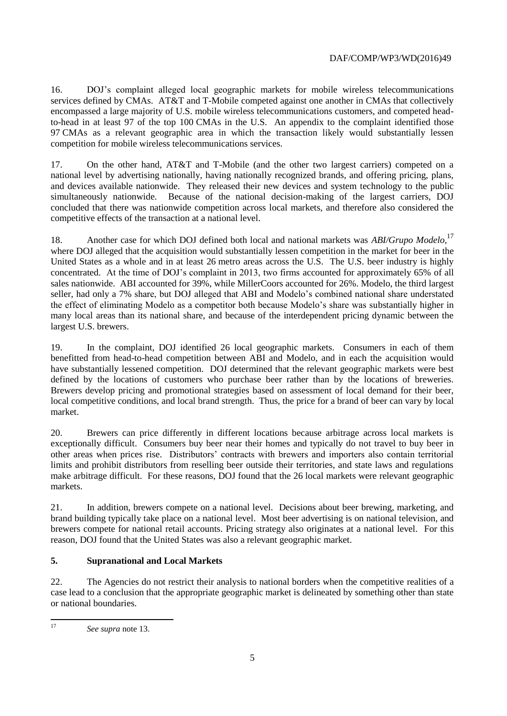16. DOJ's complaint alleged local geographic markets for mobile wireless telecommunications services defined by CMAs. AT&T and T-Mobile competed against one another in CMAs that collectively encompassed a large majority of U.S. mobile wireless telecommunications customers, and competed headto-head in at least 97 of the top 100 CMAs in the U.S. An appendix to the complaint identified those 97 CMAs as a relevant geographic area in which the transaction likely would substantially lessen competition for mobile wireless telecommunications services.

17. On the other hand, AT&T and T-Mobile (and the other two largest carriers) competed on a national level by advertising nationally, having nationally recognized brands, and offering pricing, plans, and devices available nationwide. They released their new devices and system technology to the public simultaneously nationwide. Because of the national decision-making of the largest carriers, DOJ concluded that there was nationwide competition across local markets, and therefore also considered the competitive effects of the transaction at a national level.

18. Another case for which DOJ defined both local and national markets was *ABI/Grupo Modelo*, 17 where DOJ alleged that the acquisition would substantially lessen competition in the market for beer in the United States as a whole and in at least 26 metro areas across the U.S. The U.S. beer industry is highly concentrated. At the time of DOJ's complaint in 2013, two firms accounted for approximately 65% of all sales nationwide. ABI accounted for 39%, while MillerCoors accounted for 26%. Modelo, the third largest seller, had only a 7% share, but DOJ alleged that ABI and Modelo's combined national share understated the effect of eliminating Modelo as a competitor both because Modelo's share was substantially higher in many local areas than its national share, and because of the interdependent pricing dynamic between the largest U.S. brewers.

19. In the complaint, DOJ identified 26 local geographic markets. Consumers in each of them benefitted from head-to-head competition between ABI and Modelo, and in each the acquisition would have substantially lessened competition. DOJ determined that the relevant geographic markets were best defined by the locations of customers who purchase beer rather than by the locations of breweries. Brewers develop pricing and promotional strategies based on assessment of local demand for their beer, local competitive conditions, and local brand strength. Thus, the price for a brand of beer can vary by local market.

20. Brewers can price differently in different locations because arbitrage across local markets is exceptionally difficult. Consumers buy beer near their homes and typically do not travel to buy beer in other areas when prices rise. Distributors' contracts with brewers and importers also contain territorial limits and prohibit distributors from reselling beer outside their territories, and state laws and regulations make arbitrage difficult. For these reasons, DOJ found that the 26 local markets were relevant geographic markets.

21. In addition, brewers compete on a national level. Decisions about beer brewing, marketing, and brand building typically take place on a national level. Most beer advertising is on national television, and brewers compete for national retail accounts. Pricing strategy also originates at a national level. For this reason, DOJ found that the United States was also a relevant geographic market.

# **5. Supranational and Local Markets**

22. The Agencies do not restrict their analysis to national borders when the competitive realities of a case lead to a conclusion that the appropriate geographic market is delineated by something other than state or national boundaries.

 $17$ <sup>17</sup> *See supra* note 13.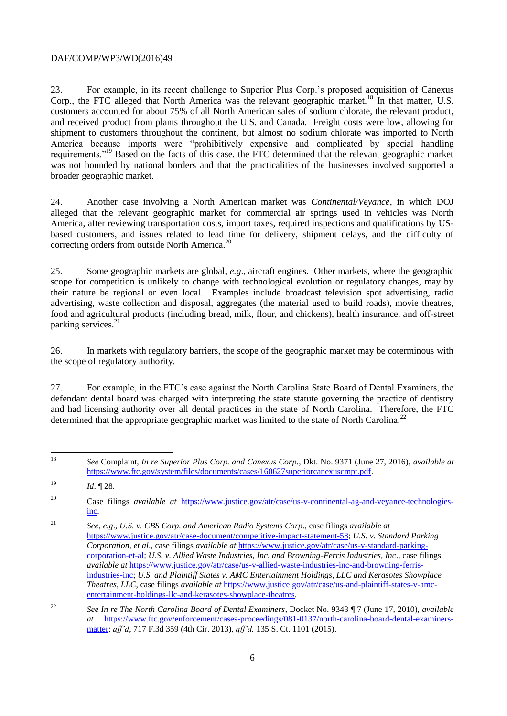23. For example, in its recent challenge to Superior Plus Corp.'s proposed acquisition of Canexus Corp., the FTC alleged that North America was the relevant geographic market.<sup>18</sup> In that matter, U.S. customers accounted for about 75% of all North American sales of sodium chlorate, the relevant product, and received product from plants throughout the U.S. and Canada. Freight costs were low, allowing for shipment to customers throughout the continent, but almost no sodium chlorate was imported to North America because imports were "prohibitively expensive and complicated by special handling requirements."<sup>19</sup> Based on the facts of this case, the FTC determined that the relevant geographic market was not bounded by national borders and that the practicalities of the businesses involved supported a broader geographic market.

24. Another case involving a North American market was *Continental/Veyance*, in which DOJ alleged that the relevant geographic market for commercial air springs used in vehicles was North America, after reviewing transportation costs, import taxes, required inspections and qualifications by USbased customers, and issues related to lead time for delivery, shipment delays, and the difficulty of correcting orders from outside North America.<sup>20</sup>

25. Some geographic markets are global, *e.g*., aircraft engines. Other markets, where the geographic scope for competition is unlikely to change with technological evolution or regulatory changes, may by their nature be regional or even local. Examples include broadcast television spot advertising, radio advertising, waste collection and disposal, aggregates (the material used to build roads), movie theatres, food and agricultural products (including bread, milk, flour, and chickens), health insurance, and off-street parking services.<sup>21</sup>

26. In markets with regulatory barriers, the scope of the geographic market may be coterminous with the scope of regulatory authority.

27. For example, in the FTC's case against the North Carolina State Board of Dental Examiners, the defendant dental board was charged with interpreting the state statute governing the practice of dentistry and had licensing authority over all dental practices in the state of North Carolina. Therefore, the FTC determined that the appropriate geographic market was limited to the state of North Carolina.<sup>22</sup>

<sup>18</sup> <sup>18</sup> *See* Complaint, *In re Superior Plus Corp. and Canexus Corp.*, Dkt. No. 9371 (June 27, 2016), *available at* [https://www.ftc.gov/system/files/documents/cases/160627superiorcanexuscmpt.pdf.](https://www.ftc.gov/system/files/documents/cases/160627superiorcanexuscmpt.pdf)

<sup>19</sup> *Id*. ¶ 28.

<sup>20</sup> Case filings *available at* [https://www.justice.gov/atr/case/us-v-continental-ag-and-veyance-technologies](https://www.justice.gov/atr/case/us-v-continental-ag-and-veyance-technologies-inc)[inc.](https://www.justice.gov/atr/case/us-v-continental-ag-and-veyance-technologies-inc) 

<sup>21</sup> *See*, *e.g*., *U.S. v. CBS Corp. and American Radio Systems Corp*., case filings *available at* [https://www.justice.gov/atr/case-document/competitive-impact-statement-58;](https://www.justice.gov/atr/case-document/competitive-impact-statement-58) *U.S. v. Standard Parking Corporation, et al*., case filings *available at* [https://www.justice.gov/atr/case/us-v-standard-parking](https://www.justice.gov/atr/case/us-v-standard-parking-corporation-et-al)[corporation-et-al;](https://www.justice.gov/atr/case/us-v-standard-parking-corporation-et-al) *U.S. v. Allied Waste Industries, Inc. and Browning-Ferris Industries, Inc*., case filings *available at* [https://www.justice.gov/atr/case/us-v-allied-waste-industries-inc-and-browning-ferris](https://www.justice.gov/atr/case/us-v-allied-waste-industries-inc-and-browning-ferris-industries-inc)[industries-inc;](https://www.justice.gov/atr/case/us-v-allied-waste-industries-inc-and-browning-ferris-industries-inc) *U.S. and Plaintiff States v. AMC Entertainment Holdings, LLC and Kerasotes Showplace Theatres, LLC*, case filings *available at* [https://www.justice.gov/atr/case/us-and-plaintiff-states-v-amc](https://www.justice.gov/atr/case/us-and-plaintiff-states-v-amc-entertainment-holdings-llc-and-kerasotes-showplace-theatres)[entertainment-holdings-llc-and-kerasotes-showplace-theatres.](https://www.justice.gov/atr/case/us-and-plaintiff-states-v-amc-entertainment-holdings-llc-and-kerasotes-showplace-theatres)

<sup>22</sup> *See In re The North Carolina Board of Dental Examiners*, Docket No. 9343 ¶ 7 (June 17, 2010), *available at* [https://www.ftc.gov/enforcement/cases-proceedings/081-0137/north-carolina-board-dental-examiners](https://www.ftc.gov/enforcement/cases-proceedings/081-0137/north-carolina-board-dental-examiners-matter)[matter;](https://www.ftc.gov/enforcement/cases-proceedings/081-0137/north-carolina-board-dental-examiners-matter) *aff'd*, 717 F.3d 359 (4th Cir. 2013), *aff'd,* 135 S. Ct. 1101 (2015).